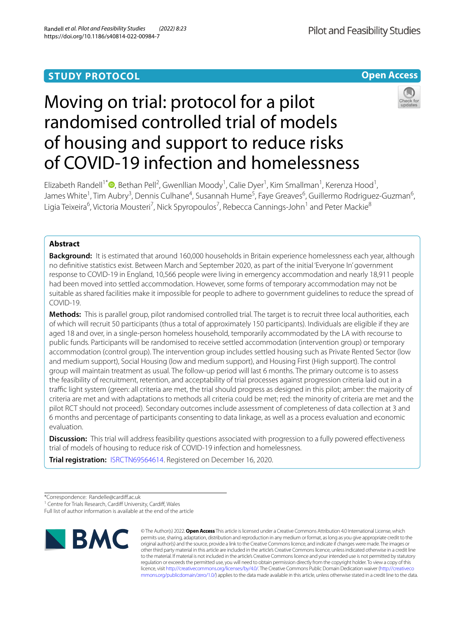# **STUDY PROTOCOL**

**Open Access**

# Moving on trial: protocol for a pilot randomised controlled trial of models of housing and support to reduce risks of COVID-19 infection and homelessness



Elizabeth Randell<sup>1\*</sup><sup>®</sup>[,](http://orcid.org/0000-0002-1606-3175) Bethan Pell<sup>2</sup>, Gwenllian Moody<sup>1</sup>, Calie Dyer<sup>1</sup>, Kim Smallman<sup>1</sup>, Kerenza Hood<sup>1</sup>, James White<sup>1</sup>, Tim Aubry<sup>3</sup>, Dennis Culhane<sup>4</sup>, Susannah Hume<sup>5</sup>, Faye Greaves<sup>6</sup>, Guillermo Rodriguez-Guzman<sup>6</sup>, Ligia Teixeira<sup>6</sup>, Victoria Mousteri<sup>7</sup>, Nick Spyropoulos<sup>7</sup>, Rebecca Cannings-John<sup>1</sup> and Peter Mackie<sup>8</sup>

# **Abstract**

**Background:** It is estimated that around 160,000 households in Britain experience homelessness each year, although no defnitive statistics exist. Between March and September 2020, as part of the initial 'Everyone In' government response to COVID-19 in England, 10,566 people were living in emergency accommodation and nearly 18,911 people had been moved into settled accommodation. However, some forms of temporary accommodation may not be suitable as shared facilities make it impossible for people to adhere to government guidelines to reduce the spread of COVID-19.

**Methods:** This is parallel group, pilot randomised controlled trial. The target is to recruit three local authorities, each of which will recruit 50 participants (thus a total of approximately 150 participants). Individuals are eligible if they are aged 18 and over, in a single-person homeless household, temporarily accommodated by the LA with recourse to public funds. Participants will be randomised to receive settled accommodation (intervention group) or temporary accommodation (control group). The intervention group includes settled housing such as Private Rented Sector (low and medium support), Social Housing (low and medium support), and Housing First (High support). The control group will maintain treatment as usual. The follow-up period will last 6 months. The primary outcome is to assess the feasibility of recruitment, retention, and acceptability of trial processes against progression criteria laid out in a traffic light system (green: all criteria are met, the trial should progress as designed in this pilot; amber: the majority of criteria are met and with adaptations to methods all criteria could be met; red: the minority of criteria are met and the pilot RCT should not proceed). Secondary outcomes include assessment of completeness of data collection at 3 and 6 months and percentage of participants consenting to data linkage, as well as a process evaluation and economic evaluation.

**Discussion:** This trial will address feasibility questions associated with progression to a fully powered effectiveness trial of models of housing to reduce risk of COVID-19 infection and homelessness.

**Trial registration:** [ISRCTN69564614.](https://www.isrctn.com/ISRCTN69564614) Registered on December 16, 2020.

\*Correspondence: Randelle@cardif.ac.uk

Full list of author information is available at the end of the article



© The Author(s) 2022. **Open Access** This article is licensed under a Creative Commons Attribution 4.0 International License, which permits use, sharing, adaptation, distribution and reproduction in any medium or format, as long as you give appropriate credit to the original author(s) and the source, provide a link to the Creative Commons licence, and indicate if changes were made. The images or other third party material in this article are included in the article's Creative Commons licence, unless indicated otherwise in a credit line to the material. If material is not included in the article's Creative Commons licence and your intended use is not permitted by statutory regulation or exceeds the permitted use, you will need to obtain permission directly from the copyright holder. To view a copy of this licence, visit [http://creativecommons.org/licenses/by/4.0/.](http://creativecommons.org/licenses/by/4.0/) The Creative Commons Public Domain Dedication waiver ([http://creativeco](http://creativecommons.org/publicdomain/zero/1.0/) [mmons.org/publicdomain/zero/1.0/](http://creativecommons.org/publicdomain/zero/1.0/)) applies to the data made available in this article, unless otherwise stated in a credit line to the data.

<sup>&</sup>lt;sup>1</sup> Centre for Trials Research, Cardiff University, Cardiff, Wales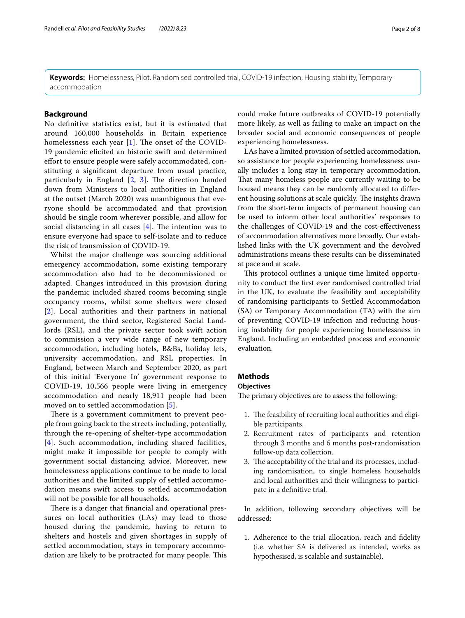**Keywords:** Homelessness, Pilot, Randomised controlled trial, COVID-19 infection, Housing stability, Temporary accommodation

# **Background**

No defnitive statistics exist, but it is estimated that around 160,000 households in Britain experience homelessness each year  $[1]$  $[1]$  $[1]$ . The onset of the COVID-19 pandemic elicited an historic swift and determined effort to ensure people were safely accommodated, constituting a signifcant departure from usual practice, particularly in England  $[2, 3]$  $[2, 3]$  $[2, 3]$  $[2, 3]$  $[2, 3]$ . The direction handed down from Ministers to local authorities in England at the outset (March 2020) was unambiguous that everyone should be accommodated and that provision should be single room wherever possible, and allow for social distancing in all cases  $[4]$  $[4]$ . The intention was to ensure everyone had space to self-isolate and to reduce the risk of transmission of COVID-19.

Whilst the major challenge was sourcing additional emergency accommodation, some existing temporary accommodation also had to be decommissioned or adapted. Changes introduced in this provision during the pandemic included shared rooms becoming single occupancy rooms, whilst some shelters were closed [[2](#page-7-1)]. Local authorities and their partners in national government, the third sector, Registered Social Landlords (RSL), and the private sector took swift action to commission a very wide range of new temporary accommodation, including hotels, B&Bs, holiday lets, university accommodation, and RSL properties. In England, between March and September 2020, as part of this initial 'Everyone In' government response to COVID-19, 10,566 people were living in emergency accommodation and nearly 18,911 people had been moved on to settled accommodation [\[5](#page-7-4)].

There is a government commitment to prevent people from going back to the streets including, potentially, through the re-opening of shelter-type accommodation [[4](#page-7-3)]. Such accommodation, including shared facilities, might make it impossible for people to comply with government social distancing advice. Moreover, new homelessness applications continue to be made to local authorities and the limited supply of settled accommodation means swift access to settled accommodation will not be possible for all households.

There is a danger that financial and operational pressures on local authorities (LAs) may lead to those housed during the pandemic, having to return to shelters and hostels and given shortages in supply of settled accommodation, stays in temporary accommodation are likely to be protracted for many people. This could make future outbreaks of COVID-19 potentially more likely, as well as failing to make an impact on the broader social and economic consequences of people experiencing homelessness.

LAs have a limited provision of settled accommodation, so assistance for people experiencing homelessness usually includes a long stay in temporary accommodation. That many homeless people are currently waiting to be housed means they can be randomly allocated to diferent housing solutions at scale quickly. The insights drawn from the short-term impacts of permanent housing can be used to inform other local authorities' responses to the challenges of COVID-19 and the cost-efectiveness of accommodation alternatives more broadly. Our established links with the UK government and the devolved administrations means these results can be disseminated at pace and at scale.

This protocol outlines a unique time limited opportunity to conduct the frst ever randomised controlled trial in the UK, to evaluate the feasibility and acceptability of randomising participants to Settled Accommodation (SA) or Temporary Accommodation (TA) with the aim of preventing COVID-19 infection and reducing housing instability for people experiencing homelessness in England. Including an embedded process and economic evaluation.

# **Methods**

# **Objectives**

The primary objectives are to assess the following:

- 1. The feasibility of recruiting local authorities and eligible participants.
- 2. Recruitment rates of participants and retention through 3 months and 6 months post-randomisation follow-up data collection.
- 3. The acceptability of the trial and its processes, including randomisation, to single homeless households and local authorities and their willingness to participate in a defnitive trial.

In addition, following secondary objectives will be addressed:

1. Adherence to the trial allocation, reach and fdelity (i.e. whether SA is delivered as intended, works as hypothesised, is scalable and sustainable).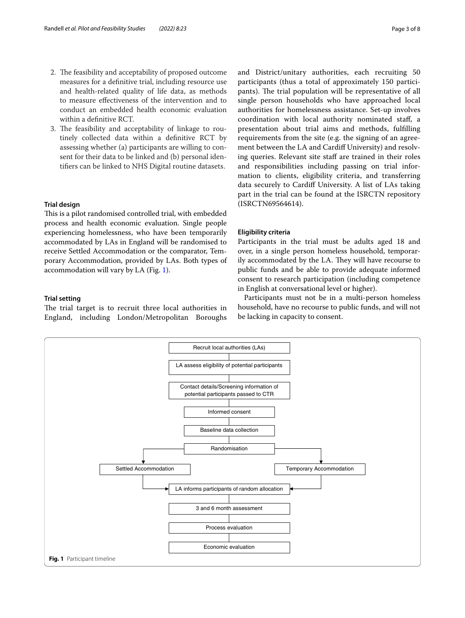- 2. The feasibility and acceptability of proposed outcome measures for a defnitive trial, including resource use and health-related quality of life data, as methods to measure efectiveness of the intervention and to conduct an embedded health economic evaluation within a defnitive RCT.
- 3. The feasibility and acceptability of linkage to routinely collected data within a defnitive RCT by assessing whether (a) participants are willing to consent for their data to be linked and (b) personal identifers can be linked to NHS Digital routine datasets.

### **Trial design**

This is a pilot randomised controlled trial, with embedded process and health economic evaluation. Single people experiencing homelessness, who have been temporarily accommodated by LAs in England will be randomised to receive Settled Accommodation or the comparator, Temporary Accommodation, provided by LAs. Both types of accommodation will vary by LA (Fig. [1\)](#page-2-0).

# **Trial setting**

The trial target is to recruit three local authorities in England, including London/Metropolitan Boroughs and District/unitary authorities, each recruiting 50 participants (thus a total of approximately 150 participants). The trial population will be representative of all single person households who have approached local authorities for homelessness assistance. Set-up involves coordination with local authority nominated staf, a presentation about trial aims and methods, fulflling requirements from the site (e.g. the signing of an agreement between the LA and Cardif University) and resolving queries. Relevant site staff are trained in their roles and responsibilities including passing on trial information to clients, eligibility criteria, and transferring data securely to Cardif University. A list of LAs taking part in the trial can be found at the ISRCTN repository (ISRCTN69564614).

# **Eligibility criteria**

Participants in the trial must be adults aged 18 and over, in a single person homeless household, temporarily accommodated by the LA. They will have recourse to public funds and be able to provide adequate informed consent to research participation (including competence in English at conversational level or higher).

Participants must not be in a multi-person homeless household, have no recourse to public funds, and will not be lacking in capacity to consent.

<span id="page-2-0"></span>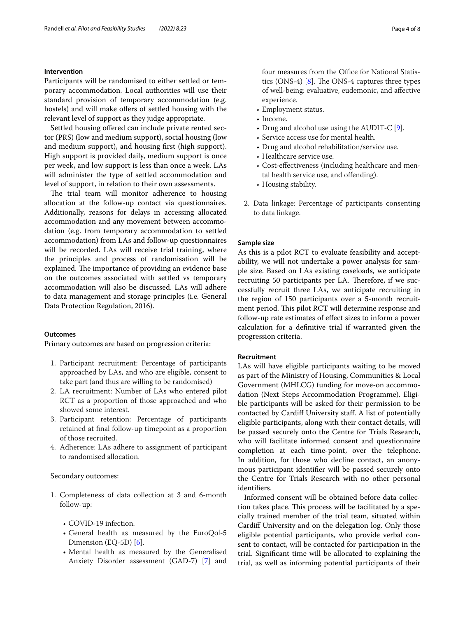#### **Intervention**

Participants will be randomised to either settled or temporary accommodation. Local authorities will use their standard provision of temporary accommodation (e.g. hostels) and will make offers of settled housing with the relevant level of support as they judge appropriate.

Settled housing offered can include private rented sector (PRS) (low and medium support), social housing (low and medium support), and housing frst (high support). High support is provided daily, medium support is once per week, and low support is less than once a week. LAs will administer the type of settled accommodation and level of support, in relation to their own assessments.

The trial team will monitor adherence to housing allocation at the follow-up contact via questionnaires. Additionally, reasons for delays in accessing allocated accommodation and any movement between accommodation (e.g. from temporary accommodation to settled accommodation) from LAs and follow-up questionnaires will be recorded. LAs will receive trial training, where the principles and process of randomisation will be explained. The importance of providing an evidence base on the outcomes associated with settled vs temporary accommodation will also be discussed. LAs will adhere to data management and storage principles (i.e. General Data Protection Regulation, 2016).

# **Outcomes**

Primary outcomes are based on progression criteria:

- 1. Participant recruitment: Percentage of participants approached by LAs, and who are eligible, consent to take part (and thus are willing to be randomised)
- 2. LA recruitment: Number of LAs who entered pilot RCT as a proportion of those approached and who showed some interest.
- 3. Participant retention: Percentage of participants retained at fnal follow-up timepoint as a proportion of those recruited.
- 4. Adherence: LAs adhere to assignment of participant to randomised allocation.

Secondary outcomes:

- 1. Completeness of data collection at 3 and 6-month follow-up:
	- COVID-19 infection.
	- General health as measured by the EuroQol-5 Dimension (EQ-5D) [[6\]](#page-7-5).
	- Mental health as measured by the Generalised Anxiety Disorder assessment (GAD-7) [[7\]](#page-7-6) and

four measures from the Office for National Statistics (ONS-4)  $[8]$  $[8]$ . The ONS-4 captures three types of well-being: evaluative, eudemonic, and afective experience.

- Employment status.
- Income.
- Drug and alcohol use using the AUDIT-C [[9\]](#page-7-8).
- Service access use for mental health.
- Drug and alcohol rehabilitation/service use.
- Healthcare service use.
- Cost-efectiveness (including healthcare and mental health service use, and ofending).
- Housing stability.
- 2. Data linkage: Percentage of participants consenting to data linkage.

# **Sample size**

As this is a pilot RCT to evaluate feasibility and acceptability, we will not undertake a power analysis for sample size. Based on LAs existing caseloads, we anticipate recruiting 50 participants per LA. Therefore, if we successfully recruit three LAs, we anticipate recruiting in the region of 150 participants over a 5-month recruitment period. This pilot RCT will determine response and follow-up rate estimates of efect sizes to inform a power calculation for a defnitive trial if warranted given the progression criteria.

# **Recruitment**

LAs will have eligible participants waiting to be moved as part of the Ministry of Housing, Communities & Local Government (MHLCG) funding for move-on accommodation (Next Steps Accommodation Programme). Eligible participants will be asked for their permission to be contacted by Cardif University staf. A list of potentially eligible participants, along with their contact details, will be passed securely onto the Centre for Trials Research, who will facilitate informed consent and questionnaire completion at each time-point, over the telephone. In addition, for those who decline contact, an anonymous participant identifer will be passed securely onto the Centre for Trials Research with no other personal identifers.

Informed consent will be obtained before data collection takes place. This process will be facilitated by a specially trained member of the trial team, situated within Cardif University and on the delegation log. Only those eligible potential participants, who provide verbal consent to contact, will be contacted for participation in the trial. Signifcant time will be allocated to explaining the trial, as well as informing potential participants of their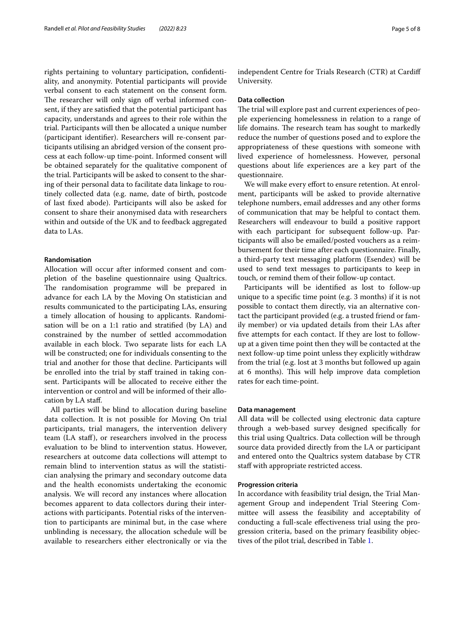rights pertaining to voluntary participation, confdentiality, and anonymity. Potential participants will provide verbal consent to each statement on the consent form. The researcher will only sign off verbal informed consent, if they are satisfed that the potential participant has capacity, understands and agrees to their role within the trial. Participants will then be allocated a unique number (participant identifer). Researchers will re-consent participants utilising an abridged version of the consent process at each follow-up time-point. Informed consent will be obtained separately for the qualitative component of the trial. Participants will be asked to consent to the sharing of their personal data to facilitate data linkage to routinely collected data (e.g. name, date of birth, postcode of last fxed abode). Participants will also be asked for consent to share their anonymised data with researchers within and outside of the UK and to feedback aggregated data to LAs.

# **Randomisation**

Allocation will occur after informed consent and completion of the baseline questionnaire using Qualtrics. The randomisation programme will be prepared in advance for each LA by the Moving On statistician and results communicated to the participating LAs, ensuring a timely allocation of housing to applicants. Randomisation will be on a 1:1 ratio and stratifed (by LA) and constrained by the number of settled accommodation available in each block. Two separate lists for each LA will be constructed; one for individuals consenting to the trial and another for those that decline. Participants will be enrolled into the trial by staff trained in taking consent. Participants will be allocated to receive either the intervention or control and will be informed of their allocation by LA staf.

All parties will be blind to allocation during baseline data collection. It is not possible for Moving On trial participants, trial managers, the intervention delivery team (LA staf), or researchers involved in the process evaluation to be blind to intervention status. However, researchers at outcome data collections will attempt to remain blind to intervention status as will the statistician analysing the primary and secondary outcome data and the health economists undertaking the economic analysis. We will record any instances where allocation becomes apparent to data collectors during their interactions with participants. Potential risks of the intervention to participants are minimal but, in the case where unblinding is necessary, the allocation schedule will be available to researchers either electronically or via the independent Centre for Trials Research (CTR) at Cardif University.

#### **Data collection**

The trial will explore past and current experiences of people experiencing homelessness in relation to a range of life domains. The research team has sought to markedly reduce the number of questions posed and to explore the appropriateness of these questions with someone with lived experience of homelessness. However, personal questions about life experiences are a key part of the questionnaire.

We will make every effort to ensure retention. At enrolment, participants will be asked to provide alternative telephone numbers, email addresses and any other forms of communication that may be helpful to contact them. Researchers will endeavour to build a positive rapport with each participant for subsequent follow-up. Participants will also be emailed/posted vouchers as a reimbursement for their time after each questionnaire. Finally, a third-party text messaging platform (Esendex) will be used to send text messages to participants to keep in touch, or remind them of their follow-up contact.

Participants will be identifed as lost to follow-up unique to a specifc time point (e.g. 3 months) if it is not possible to contact them directly, via an alternative contact the participant provided (e.g. a trusted friend or family member) or via updated details from their LAs after fve attempts for each contact. If they are lost to followup at a given time point then they will be contacted at the next follow-up time point unless they explicitly withdraw from the trial (e.g. lost at 3 months but followed up again at 6 months). This will help improve data completion rates for each time-point.

#### **Data management**

All data will be collected using electronic data capture through a web-based survey designed specifcally for this trial using Qualtrics. Data collection will be through source data provided directly from the LA or participant and entered onto the Qualtrics system database by CTR staff with appropriate restricted access.

#### **Progression criteria**

In accordance with feasibility trial design, the Trial Management Group and independent Trial Steering Committee will assess the feasibility and acceptability of conducting a full-scale efectiveness trial using the progression criteria, based on the primary feasibility objectives of the pilot trial, described in Table [1.](#page-5-0)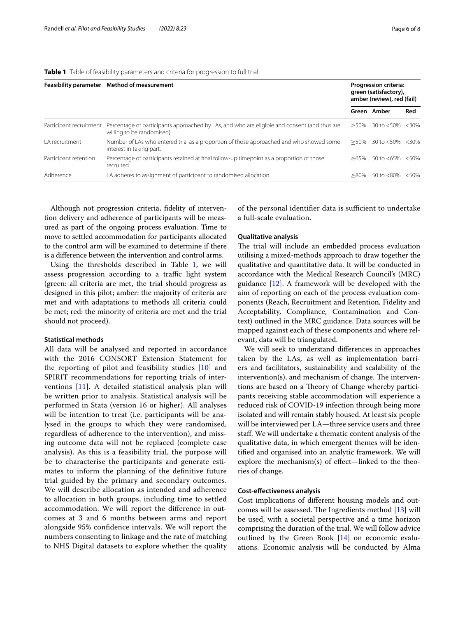<span id="page-5-0"></span>

|  | Table 1 Table of feasibility parameters and criteria for progression to full trial |
|--|------------------------------------------------------------------------------------|
|--|------------------------------------------------------------------------------------|

|                         | Feasibility parameter Method of measurement                                                                                | Progression criteria:<br>green (satisfactory),<br>amber (review), red (fail) |               |         |
|-------------------------|----------------------------------------------------------------------------------------------------------------------------|------------------------------------------------------------------------------|---------------|---------|
|                         |                                                                                                                            |                                                                              | Green Amber   | Red     |
| Participant recruitment | Percentage of participants approached by LAs, and who are eligible and consent (and thus are<br>willing to be randomised). | $>50\%$                                                                      | 30 to <50%    | $<30\%$ |
| I A recruitment         | Number of LAs who entered trial as a proportion of those approached and who showed some<br>interest in taking part.        | $>50\%$                                                                      | 30 to <50%    | $<30\%$ |
| Participant retention   | Percentage of participants retained at final follow-up timepoint as a proportion of those<br>recruited.                    | $>65\%$                                                                      | 50 to $<$ 65% | < 50%   |
| Adherence               | LA adheres to assignment of participant to randomised allocation.                                                          | $>80\%$                                                                      | 50 to <80%    | < 50%   |

Although not progression criteria, fdelity of intervention delivery and adherence of participants will be measured as part of the ongoing process evaluation. Time to move to settled accommodation for participants allocated to the control arm will be examined to determine if there is a diference between the intervention and control arms.

Using the thresholds described in Table [1](#page-5-0), we will assess progression according to a traffic light system (green: all criteria are met, the trial should progress as designed in this pilot; amber: the majority of criteria are met and with adaptations to methods all criteria could be met; red: the minority of criteria are met and the trial should not proceed).

# **Statistical methods**

All data will be analysed and reported in accordance with the 2016 CONSORT Extension Statement for the reporting of pilot and feasibility studies [\[10](#page-7-9)] and SPIRIT recommendations for reporting trials of interventions [\[11](#page-7-10)]. A detailed statistical analysis plan will be written prior to analysis. Statistical analysis will be performed in Stata (version 16 or higher). All analyses will be intention to treat (i.e. participants will be analysed in the groups to which they were randomised, regardless of adherence to the intervention), and missing outcome data will not be replaced (complete case analysis). As this is a feasibility trial, the purpose will be to characterise the participants and generate estimates to inform the planning of the defnitive future trial guided by the primary and secondary outcomes. We will describe allocation as intended and adherence to allocation in both groups, including time to settled accommodation. We will report the diference in outcomes at 3 and 6 months between arms and report alongside 95% confdence intervals. We will report the numbers consenting to linkage and the rate of matching to NHS Digital datasets to explore whether the quality of the personal identifier data is sufficient to undertake a full-scale evaluation.

# **Qualitative analysis**

The trial will include an embedded process evaluation utilising a mixed-methods approach to draw together the qualitative and quantitative data. It will be conducted in accordance with the Medical Research Council's (MRC) guidance  $[12]$  $[12]$ . A framework will be developed with the aim of reporting on each of the process evaluation components (Reach, Recruitment and Retention, Fidelity and Acceptability, Compliance, Contamination and Context) outlined in the MRC guidance. Data sources will be mapped against each of these components and where relevant, data will be triangulated.

We will seek to understand diferences in approaches taken by the LAs, as well as implementation barriers and facilitators, sustainability and scalability of the  $intervention(s)$ , and mechanism of change. The interventions are based on a Theory of Change whereby participants receiving stable accommodation will experience a reduced risk of COVID-19 infection through being more isolated and will remain stably housed. At least six people will be interviewed per LA—three service users and three staf. We will undertake a thematic content analysis of the qualitative data, in which emergent themes will be identifed and organised into an analytic framework. We will explore the mechanism(s) of effect—linked to the theories of change.

# **Cost‑efectiveness analysis**

Cost implications of diferent housing models and outcomes will be assessed. The Ingredients method  $[13]$  will be used, with a societal perspective and a time horizon comprising the duration of the trial. We will follow advice outlined by the Green Book [\[14](#page-7-13)] on economic evaluations. Economic analysis will be conducted by Alma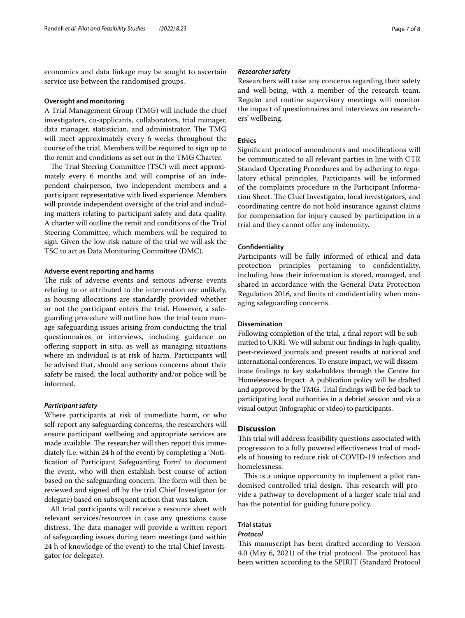economics and data linkage may be sought to ascertain service use between the randomised groups.

#### **Oversight and monitoring**

A Trial Management Group (TMG) will include the chief investigators, co-applicants, collaborators, trial manager, data manager, statistician, and administrator. The TMG will meet approximately every 6 weeks throughout the course of the trial. Members will be required to sign up to the remit and conditions as set out in the TMG Charter.

The Trial Steering Committee (TSC) will meet approximately every 6 months and will comprise of an independent chairperson, two independent members and a participant representative with lived experience. Members will provide independent oversight of the trial and including matters relating to participant safety and data quality. A charter will outline the remit and conditions of the Trial Steering Committee, which members will be required to sign. Given the low-risk nature of the trial we will ask the TSC to act as Data Monitoring Committee (DMC).

#### **Adverse event reporting and harms**

The risk of adverse events and serious adverse events relating to or attributed to the intervention are unlikely, as housing allocations are standardly provided whether or not the participant enters the trial. However, a safeguarding procedure will outline how the trial team manage safeguarding issues arising from conducting the trial questionnaires or interviews, including guidance on ofering support in situ, as well as managing situations where an individual is at risk of harm. Participants will be advised that, should any serious concerns about their safety be raised, the local authority and/or police will be informed.

#### *Participant safety*

Where participants at risk of immediate harm, or who self-report any safeguarding concerns, the researchers will ensure participant wellbeing and appropriate services are made available. The researcher will then report this immediately (i.e. within 24 h of the event) by completing a 'Notifcation of Participant Safeguarding Form' to document the event, who will then establish best course of action based on the safeguarding concern. The form will then be reviewed and signed off by the trial Chief Investigator (or delegate) based on subsequent action that was taken.

All trial participants will receive a resource sheet with relevant services/resources in case any questions cause distress. The data manager will provide a written report of safeguarding issues during team meetings (and within 24 h of knowledge of the event) to the trial Chief Investigator (or delegate).

#### *Researcher safety*

Researchers will raise any concerns regarding their safety and well-being, with a member of the research team. Regular and routine supervisory meetings will monitor the impact of questionnaires and interviews on researchers' wellbeing.

# **Ethics**

Signifcant protocol amendments and modifcations will be communicated to all relevant parties in line with CTR Standard Operating Procedures and by adhering to regulatory ethical principles. Participants will be informed of the complaints procedure in the Participant Information Sheet. The Chief Investigator, local investigators, and coordinating centre do not hold insurance against claims for compensation for injury caused by participation in a trial and they cannot offer any indemnity.

# **Confdentiality**

Participants will be fully informed of ethical and data protection principles pertaining to confdentiality, including how their information is stored, managed, and shared in accordance with the General Data Protection Regulation 2016, and limits of confdentiality when managing safeguarding concerns.

# **Dissemination**

Following completion of the trial, a final report will be submitted to UKRI. We will submit our fndings in high-quality, peer-reviewed journals and present results at national and international conferences. To ensure impact, we will disseminate fndings to key stakeholders through the Centre for Homelessness Impact. A publication policy will be drafted and approved by the TMG. Trial fndings will be fed back to participating local authorities in a debrief session and via a visual output (infographic or video) to participants.

# **Discussion**

This trial will address feasibility questions associated with progression to a fully powered efectiveness trial of models of housing to reduce risk of COVID-19 infection and homelessness.

This is a unique opportunity to implement a pilot randomised controlled trial design. This research will provide a pathway to development of a larger scale trial and has the potential for guiding future policy.

#### **Trial status**

#### *Protocol*

This manuscript has been drafted according to Version  $4.0$  (May 6, 2021) of the trial protocol. The protocol has been written according to the SPIRIT (Standard Protocol